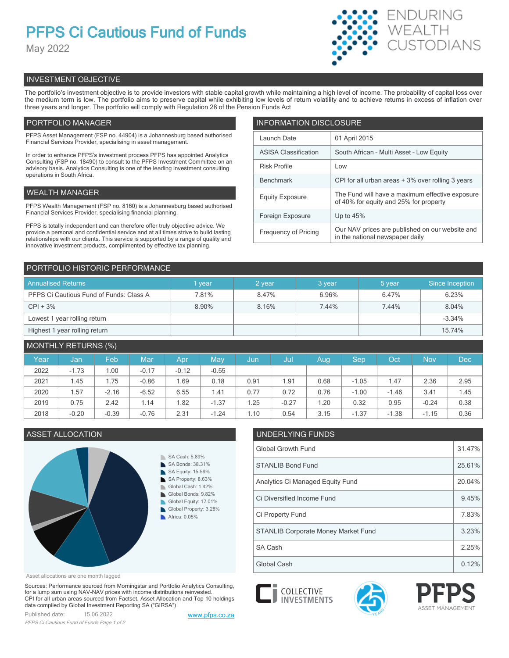## **PFPS Ci Cautious Fund of Funds**

May 2022



### INVESTMENT OBJECTIVE

The portfolio's investment objective is to provide investors with stable capital growth while maintaining a high level of income. The probability of capital loss over the medium term is low. The portfolio aims to preserve capital while exhibiting low levels of return volatility and to achieve returns in excess of inflation over three years and longer. The portfolio will comply with Regulation 28 of the Pension Funds Act

#### PORTFOLIO MANAGER

PFPS Asset Management (FSP no. 44904) is a Johannesburg based authorised Financial Services Provider, specialising in asset management.

In order to enhance PFPS's investment process PFPS has appointed Analytics Consulting (FSP no. 18490) to consult to the PFPS Investment Committee on an advisory basis. Analytics Consulting is one of the leading investment consulting operations in South Africa.

#### WEALTH MANAGER

PFPS Wealth Management (FSP no. 8160) is a Johannesburg based authorised Financial Services Provider, specialising financial planning.

PFPS is totally independent and can therefore offer truly objective advice. We provide a personal and confidential service and at all times strive to build lasting relationships with our clients. This service is supported by a range of quality and innovative investment products, complimented by effective tax planning.

| <b>INFORMATION DISCLOSURE</b> |                                                                                           |  |  |  |  |
|-------------------------------|-------------------------------------------------------------------------------------------|--|--|--|--|
| Launch Date                   | 01 April 2015                                                                             |  |  |  |  |
| <b>ASISA Classification</b>   | South African - Multi Asset - Low Equity                                                  |  |  |  |  |
| <b>Risk Profile</b>           | Low                                                                                       |  |  |  |  |
| <b>Benchmark</b>              | CPI for all urban areas + 3% over rolling 3 years                                         |  |  |  |  |
| <b>Equity Exposure</b>        | The Fund will have a maximum effective exposure<br>of 40% for equity and 25% for property |  |  |  |  |
| Foreign Exposure              | Up to $45%$                                                                               |  |  |  |  |
| <b>Frequency of Pricing</b>   | Our NAV prices are published on our website and<br>in the national newspaper daily        |  |  |  |  |

#### PORTFOLIO HISTORIC PERFORMANCE

| <b>Annualised Returns</b>               | vear  | 2 vear | 3 year | 5 year | Since Inception |
|-----------------------------------------|-------|--------|--------|--------|-----------------|
| PFPS Ci Cautious Fund of Funds: Class A | 7.81% | 8.47%  | 6.96%  | 6.47%  | 6.23%           |
| $CPI + 3%$                              | 8.90% | 8.16%  | 7.44%  | 7.44%  | 8.04%           |
| Lowest 1 year rolling return            |       |        |        |        | $-3.34%$        |
| Highest 1 year rolling return           |       |        |        |        | 15.74%          |

#### MONTHLY RETURNS (%)

| Year | Jan,    | Feb     | Mar     | Apr     | May     | Jun  | Jul     | Aug  | Sep     | Oct     | <b>Nov</b> | <b>Dec</b> |
|------|---------|---------|---------|---------|---------|------|---------|------|---------|---------|------------|------------|
| 2022 | $-1.73$ | .00     | $-0.17$ | $-0.12$ | $-0.55$ |      |         |      |         |         |            |            |
| 2021 | 1.45    | .75     | $-0.86$ | 69. ا   | 0.18    | 0.91 | 1.91    | 0.68 | $-1.05$ | 1.47    | 2.36       | 2.95       |
| 2020 | . 57    | $-2.16$ | $-6.52$ | 6.55    | 1.41    | 0.77 | 0.72    | 0.76 | $-1.00$ | $-1.46$ | 3.41       | 1.45       |
| 2019 | 0.75    | 2.42    | 1.14    | .82     | $-1.37$ | 1.25 | $-0.27$ | 1.20 | 0.32    | 0.95    | $-0.24$    | 0.38       |
| 2018 | $-0.20$ | $-0.39$ | $-0.76$ | 2.31    | $-1.24$ | 1.10 | 0.54    | 3.15 | $-1.37$ | $-1.38$ | $-1.15$    | 0.36       |



### ASSET ALLOCATION UNDERLYING FUNDS

COLLECTIVE<br>
INVESTMENTS

| <b>Global Growth Fund</b>                  |        |  |
|--------------------------------------------|--------|--|
| <b>STANLIB Bond Fund</b>                   | 25.61% |  |
| Analytics Ci Managed Equity Fund           | 20.04% |  |
| Ci Diversified Income Fund                 | 9.45%  |  |
| Ci Property Fund                           | 7.83%  |  |
| <b>STANLIB Corporate Money Market Fund</b> | 3.23%  |  |
| SA Cash                                    | 2.25%  |  |
| Global Cash                                | 0.12%  |  |



Sources: Performance sourced from Morningstar and Portfolio Analytics Consulting, for a lump sum using NAV-NAV prices with income distributions reinvested. CPI for all urban areas sourced from Factset. Asset Allocation and Top 10 holdings data compiled by Global Investment Reporting SA ("GIRSA")

Published date: 15.06.2022 [www.pfps.co.za](https://www.pfps.co.za/) *PFPS Ci Cautious Fund of Funds Page 1 of 2*